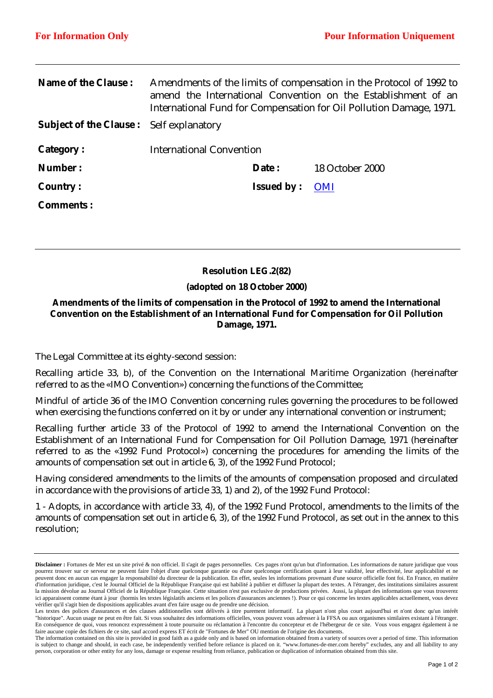| <b>Name of the Clause:</b>                     | Amendments of the limits of compensation in the Protocol of 1992 to<br>amend the International Convention on the Establishment of an<br>International Fund for Compensation for Oil Pollution Damage, 1971. |                   |                        |
|------------------------------------------------|-------------------------------------------------------------------------------------------------------------------------------------------------------------------------------------------------------------|-------------------|------------------------|
| <b>Subject of the Clause:</b> Self explanatory |                                                                                                                                                                                                             |                   |                        |
| <b>Category:</b>                               | <b>International Convention</b>                                                                                                                                                                             |                   |                        |
| Number:                                        |                                                                                                                                                                                                             | Date:             | <b>18 October 2000</b> |
| <b>Country:</b>                                |                                                                                                                                                                                                             | <b>Issued by:</b> | <b>OMI</b>             |
| <b>Comments:</b>                               |                                                                                                                                                                                                             |                   |                        |

# **Resolution LEG.2(82)**

### **(adopted on 18 October 2000)**

# **Amendments of the limits of compensation in the Protocol of 1992 to amend the International Convention on the Establishment of an International Fund for Compensation for Oil Pollution Damage, 1971.**

The Legal Committee at its eighty-second session:

Recalling article 33, b), of the Convention on the International Maritime Organization (hereinafter referred to as the «IMO Convention») concerning the functions of the Committee;

Mindful of article 36 of the IMO Convention concerning rules governing the procedures to be followed when exercising the functions conferred on it by or under any international convention or instrument;

Recalling further article 33 of the Protocol of 1992 to amend the International Convention on the Establishment of an International Fund for Compensation for Oil Pollution Damage, 1971 (hereinafter referred to as the «1992 Fund Protocol») concerning the procedures for amending the limits of the amounts of compensation set out in article 6, 3), of the 1992 Fund Protocol;

Having considered amendments to the limits of the amounts of compensation proposed and circulated in accordance with the provisions of article 33, 1) and 2), of the 1992 Fund Protocol:

1 - Adopts, in accordance with article 33, 4), of the 1992 Fund Protocol, amendments to the limits of the amounts of compensation set out in article 6, 3), of the 1992 Fund Protocol, as set out in the annex to this resolution;

**Disclaimer :** Fortunes de Mer est un site privé & non officiel. Il s'agit de pages personnelles. Ces pages n'ont qu'un but d'information. Les informations de nature juridique que vous pourrez trouver sur ce serveur ne peuvent faire l'objet d'une quelconque garantie ou d'une quelconque certification quant à leur validité, leur effectivité, leur applicabilité et ne peuvent donc en aucun cas engager la responsabilité du directeur de la publication. En effet, seules les informations provenant d'une source officielle font foi. En France, en matière d'information juridique, c'est le Journal Officiel de la République Française qui est habilité à publier et diffuser la plupart des textes. A l'étranger, des institutions similaires assurent la mission dévolue au Journal Officiel de la République Française. Cette situation n'est pas exclusive de productions privées. Aussi, la plupart des informations que vous trouverez ici apparaissent comme étant à jour (hormis les textes législatifs anciens et les polices d'assurances anciennes !). Pour ce qui concerne les textes applicables actuellement, vous devez vérifier qu'il s'agit bien de dispositions applicables avant d'en faire usage ou de prendre une décision.

Les textes des polices d'assurances et des clauses additionnelles sont délivrés à titre purement informatif. La plupart n'ont plus court aujourd'hui et n'ont donc qu'un intérêt "historique". Aucun usage ne peut en être fait. Si vous souhaitez des informations officielles, vous pouvez vous adresser à la FFSA ou aux organismes similaires existant à l'étranger. En conséquence de quoi, vous renoncez expressément à toute poursuite ou réclamation à l'encontre du concepteur et de l'hébergeur de ce site. Vous vous engagez également à ne faire aucune copie des fichiers de ce site, sauf accord express ET écrit de "Fortunes de Mer" OU mention de l'origine des documents.

The information contained on this site is provided in good faith as a guide only and is based on information obtained from a variety of sources over a period of time. This information is subject to change and should, in each case, be independently verified before reliance is placed on it. "www.fortunes-de-mer.com hereby" excludes, any and all liability to any person, corporation or other entity for any loss, damage or expense resulting from reliance, publication or duplication of information obtained from this site.